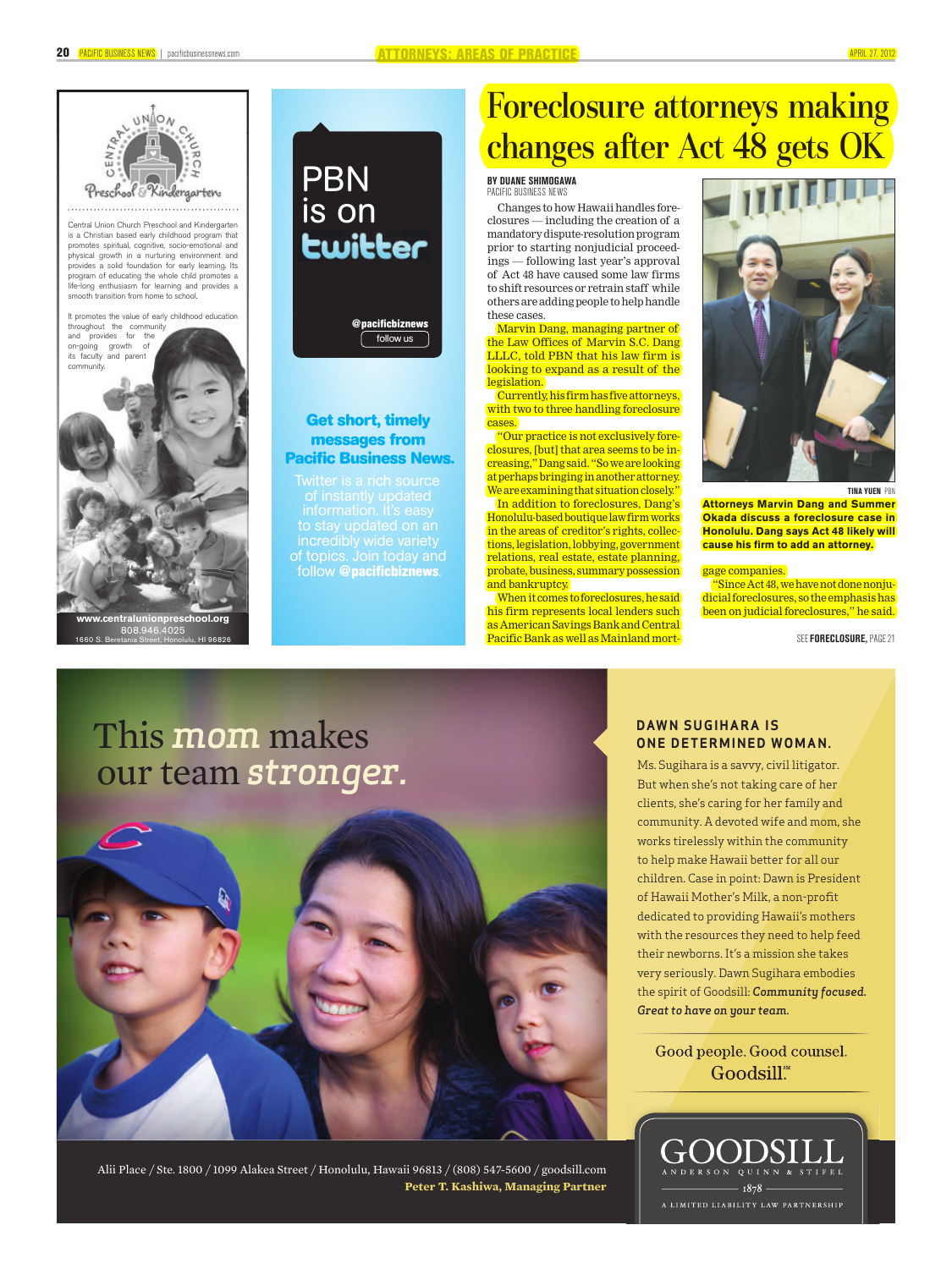

Central Union Church Preschool and Kindergarten is a Christian based early childhood program that promotes spiritual, cognitive, socio-emotional and physical growth in a nurturing environment and provides a solid foundation for early learning. Its program of educating the whole child promotes a life-long enthusiasm for learning and provides a smooth transition from home to school.



## PBN is on<br>**Ewi<del>tt</del>er**



### **Get short, timely messages from Pacific Business News.**

of instantly updated information. It's easy to stay updated on an incredibly wide variety of topics. Join today and follow @**pacificbiznews**.

### Foreclosure attorneys making changes after Act 48 gets OK

#### **BY DUANE SHIMOGAWA** PACIFIC BUSINESS NEWS

Changes to how Hawaii handles foreclosures — including the creation of a mandatory dispute-resolution program prior to starting nonjudicial proceedings — following last year's approval of Act 48 have caused some law firms to shift resources or retrain staff while others are adding people to help handle these cases.

Marvin Dang, managing partner of the Law Offices of Marvin S.C. Dang LLLC, told PBN that his law firm is looking to expand as a result of the **legislation** 

Currently, his firm has five attorneys, with two to three handling foreclosure cases.

"Our practice is not exclusively foreclosures, [but] that area seems to be increasing," Dang said. "So we are looking at perhaps bringing in another attorney. We are examining that situation closely."

In addition to foreclosures, Dang's Honolulu-based boutique law firm works in the areas of creditor's rights, collections, legislation, lobbying, government relations, real estate, estate planning, probate, business, summary possession and bankruptcy.

When it comes to foreclosures, he said his firm represents local lenders such as American Savings Bank and Central Pacific Bank as well as Mainland mort-



**TINA YUEN** PBN

**Attorneys Marvin Dang and Summer Okada discuss a foreclosure case in Honolulu. Dang says Act 48 likely will cause his firm to add an attorney.**

gage companies.

"Since Act 48, we have not done nonjudicial foreclosures, so the emphasis has been on judicial foreclosures," he said.

SEE **FORECLOSURE,** PAGE 21

# This mom makes **one determined woman**.



Alii Place / Ste. 1800 / 1099 Alakea Street / Honolulu, Hawaii 96813 / (808) 547-5600 / goodsill.com **Peter T. Kashiwa, Managing Partner**

### **DAWN SUGIHARA IS ONE DETERMINED WOMAN.**

But when she's not taking care of her clients, she's caring for her family and community. A devoted wife and mom, she works tirelessly within the community to help make Hawaii better for all our children. Case in point: Dawn is President of Hawaii Mother's Milk, a non-profit dedicated to providing Hawaii's mothers with the resources they need to help feed their newborns. It's a mission she takes very seriously. Dawn Sugihara embodies the spirit of Goodsill: *Community focused. Great to have on your team.*

Good people. Good counsel. Goodsill.